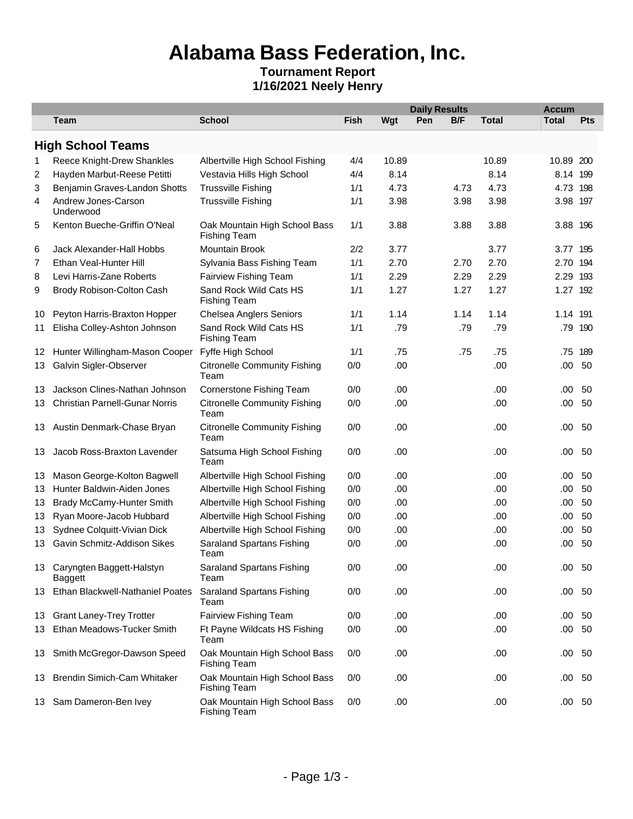# **Alabama Bass Federation, Inc.**

#### **Tournament Report 1/16/2021 Neely Henry**

|     |                                         |                                                      |      | <b>Daily Results</b> |     |      | <b>Accum</b> |               |            |
|-----|-----------------------------------------|------------------------------------------------------|------|----------------------|-----|------|--------------|---------------|------------|
|     | Team                                    | <b>School</b>                                        | Fish | Wgt                  | Pen | B/F  | <b>Total</b> | <b>Total</b>  | <b>Pts</b> |
|     | <b>High School Teams</b>                |                                                      |      |                      |     |      |              |               |            |
| 1   | Reece Knight-Drew Shankles              | Albertville High School Fishing                      | 4/4  | 10.89                |     |      | 10.89        | 10.89 200     |            |
| 2   | Hayden Marbut-Reese Petitti             | Vestavia Hills High School                           | 4/4  | 8.14                 |     |      | 8.14         | 8.14 199      |            |
| 3   | Benjamin Graves-Landon Shotts           | <b>Trussville Fishing</b>                            | 1/1  | 4.73                 |     | 4.73 | 4.73         | 4.73 198      |            |
| 4   | Andrew Jones-Carson<br>Underwood        | <b>Trussville Fishing</b>                            | 1/1  | 3.98                 |     | 3.98 | 3.98         | 3.98 197      |            |
| 5   | Kenton Bueche-Griffin O'Neal            | Oak Mountain High School Bass<br><b>Fishing Team</b> | 1/1  | 3.88                 |     | 3.88 | 3.88         | 3.88 196      |            |
| 6   | Jack Alexander-Hall Hobbs               | Mountain Brook                                       | 2/2  | 3.77                 |     |      | 3.77         | 3.77 195      |            |
| 7   | Ethan Veal-Hunter Hill                  | Sylvania Bass Fishing Team                           | 1/1  | 2.70                 |     | 2.70 | 2.70         | 2.70 194      |            |
| 8   | Levi Harris-Zane Roberts                | Fairview Fishing Team                                | 1/1  | 2.29                 |     | 2.29 | 2.29         | 2.29 193      |            |
| 9   | Brody Robison-Colton Cash               | Sand Rock Wild Cats HS<br><b>Fishing Team</b>        | 1/1  | 1.27                 |     | 1.27 | 1.27         | 1.27 192      |            |
| 10  | Peyton Harris-Braxton Hopper            | <b>Chelsea Anglers Seniors</b>                       | 1/1  | 1.14                 |     | 1.14 | 1.14         | 1.14 191      |            |
| 11  | Elisha Colley-Ashton Johnson            | Sand Rock Wild Cats HS<br><b>Fishing Team</b>        | 1/1  | .79                  |     | .79  | .79          |               | .79 190    |
| 12  | Hunter Willingham-Mason Cooper          | Fyffe High School                                    | 1/1  | .75                  |     | .75  | .75          |               | .75 189    |
| 13  | Galvin Sigler-Observer                  | <b>Citronelle Community Fishing</b><br>Team          | 0/0  | .00                  |     |      | .00          | .00.          | 50         |
| 13  | Jackson Clines-Nathan Johnson           | Cornerstone Fishing Team                             | 0/0  | .00                  |     |      | .00          | .00           | 50         |
| 13  | <b>Christian Parnell-Gunar Norris</b>   | <b>Citronelle Community Fishing</b><br>Team          | 0/0  | .00                  |     |      | .00          | .00.          | 50         |
|     | 13 Austin Denmark-Chase Bryan           | <b>Citronelle Community Fishing</b><br>Team          | 0/0  | .00                  |     |      | .00          | .00           | 50         |
| 13. | Jacob Ross-Braxton Lavender             | Satsuma High School Fishing<br>Team                  | 0/0  | .00                  |     |      | .00          | .00.          | 50         |
| 13  | Mason George-Kolton Bagwell             | Albertville High School Fishing                      | 0/0  | .00                  |     |      | .00          | .00           | 50         |
| 13  | Hunter Baldwin-Aiden Jones              | Albertville High School Fishing                      | 0/0  | .00                  |     |      | .00          | .00.          | 50         |
| 13  | Brady McCamy-Hunter Smith               | Albertville High School Fishing                      | 0/0  | .00                  |     |      | .00          | .00.          | 50         |
| 13  | Ryan Moore-Jacob Hubbard                | Albertville High School Fishing                      | 0/0  | .00                  |     |      | .00          | .00.          | 50         |
| 13  | Sydnee Colquitt-Vivian Dick             | Albertville High School Fishing                      | 0/0  | .00                  |     |      | .00          | .00           | 50         |
| 13  | Gavin Schmitz-Addison Sikes             | Saraland Spartans Fishing<br>Team                    | 0/0  | .00                  |     |      | .00          | .00.          | 50         |
|     | 13 Caryngten Baggett-Halstyn<br>Baggett | <b>Saraland Spartans Fishing</b><br>Team             | 0/0  | .00                  |     |      | .00          | .00.          | 50         |
| 13. | Ethan Blackwell-Nathaniel Poates        | Saraland Spartans Fishing<br>Team                    | 0/0  | .00                  |     |      | .00          | .00 50        |            |
| 13. | <b>Grant Laney-Trey Trotter</b>         | Fairview Fishing Team                                | 0/0  | .00                  |     |      | .00          | $.00\quad50$  |            |
| 13  | Ethan Meadows-Tucker Smith              | Ft Payne Wildcats HS Fishing<br>Team                 | 0/0  | .00                  |     |      | .00          | .00           | 50         |
| 13  | Smith McGregor-Dawson Speed             | Oak Mountain High School Bass<br><b>Fishing Team</b> | 0/0  | .00                  |     |      | .00          | $.00\ 50$     |            |
| 13  | <b>Brendin Simich-Cam Whitaker</b>      | Oak Mountain High School Bass<br><b>Fishing Team</b> | 0/0  | .00                  |     |      | .00          | $.00\ 50$     |            |
|     | 13 Sam Dameron-Ben Ivey                 | Oak Mountain High School Bass<br><b>Fishing Team</b> | 0/0  | .00                  |     |      | .00          | $.00\quad 50$ |            |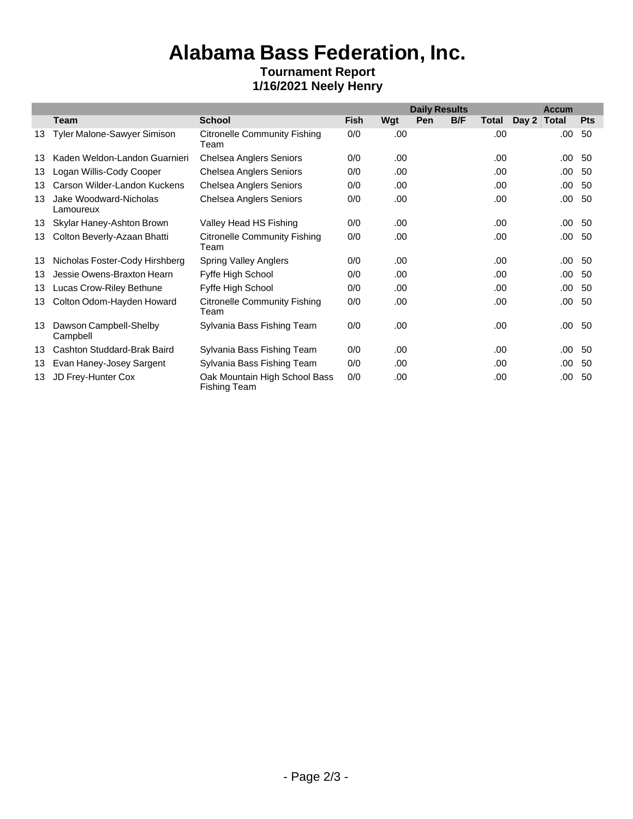### **Alabama Bass Federation, Inc. Tournament Report**

### **1/16/2021 Neely Henry**

|    |                                     |                                                      |             | <b>Daily Results</b> |     |     |       |       | <b>Accum</b> |            |  |
|----|-------------------------------------|------------------------------------------------------|-------------|----------------------|-----|-----|-------|-------|--------------|------------|--|
|    | Team                                | <b>School</b>                                        | <b>Fish</b> | Wgt                  | Pen | B/F | Total | Day 2 | <b>Total</b> | <b>Pts</b> |  |
| 13 | Tyler Malone-Sawyer Simison         | <b>Citronelle Community Fishing</b><br>Team          | 0/0         | .00                  |     |     | .00.  |       | .00.         | 50         |  |
| 13 | Kaden Weldon-Landon Guarnieri       | <b>Chelsea Anglers Seniors</b>                       | 0/0         | .00                  |     |     | .00.  |       | .00.         | 50         |  |
| 13 | Logan Willis-Cody Cooper            | <b>Chelsea Anglers Seniors</b>                       | 0/0         | .00                  |     |     | .00   |       | .00.         | 50         |  |
| 13 | Carson Wilder-Landon Kuckens        | Chelsea Anglers Seniors                              | 0/0         | .00                  |     |     | .00   |       | $.00 \cdot$  | 50         |  |
| 13 | Jake Woodward-Nicholas<br>Lamoureux | <b>Chelsea Anglers Seniors</b>                       | 0/0         | .00                  |     |     | .00   |       | .00.         | 50         |  |
| 13 | Skylar Haney-Ashton Brown           | Valley Head HS Fishing                               | 0/0         | .00                  |     |     | .00   |       | $.00 \cdot$  | 50         |  |
| 13 | Colton Beverly-Azaan Bhatti         | <b>Citronelle Community Fishing</b><br>Team          | 0/0         | .00                  |     |     | .00   |       | $.00 \cdot$  | 50         |  |
| 13 | Nicholas Foster-Cody Hirshberg      | <b>Spring Valley Anglers</b>                         | 0/0         | .00                  |     |     | .00   |       | .00.         | 50         |  |
| 13 | Jessie Owens-Braxton Hearn          | Fyffe High School                                    | 0/0         | .00                  |     |     | .00.  |       | .00.         | 50         |  |
| 13 | Lucas Crow-Riley Bethune            | Fyffe High School                                    | 0/0         | .00                  |     |     | .00   |       | .00.         | 50         |  |
| 13 | Colton Odom-Hayden Howard           | <b>Citronelle Community Fishing</b><br>Team          | 0/0         | .00                  |     |     | .00   |       | .00.         | 50         |  |
| 13 | Dawson Campbell-Shelby<br>Campbell  | Sylvania Bass Fishing Team                           | 0/0         | .00                  |     |     | .00   |       | $.00\,$      | 50         |  |
| 13 | Cashton Studdard-Brak Baird         | Sylvania Bass Fishing Team                           | 0/0         | .00                  |     |     | .00   |       | $.00 \cdot$  | 50         |  |
| 13 | Evan Haney-Josey Sargent            | Sylvania Bass Fishing Team                           | 0/0         | .00                  |     |     | .00   |       | .00.         | 50         |  |
| 13 | JD Frey-Hunter Cox                  | Oak Mountain High School Bass<br><b>Fishing Team</b> | 0/0         | .00                  |     |     | .00.  |       | .00.         | 50         |  |